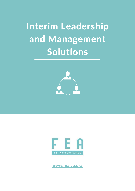Interim Leadership and Management Solutions





**[www.fea.co.uk/](https://www.fea.co.uk/)**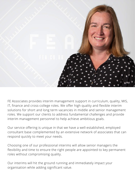

FE Associates provides interim management support in curriculum, quality, MIS, IT, finance and cross-college roles. We offer high quality and flexible interim solutions for short and long term vacancies in middle and senior management roles. We support our clients to address fundamental challenges and provide interim management personnel to help achieve ambitious goals.

Our service offering is unique in that we have a well-established, employed consultant base complemented by an extensive network of associates that can respond quickly to meet your needs.

Choosing one of our professional interims will allow senior managers the flexibility and time to ensure the right people are appointed to key permanent roles without compromising quality.

Our interims will hit the ground running and immediately impact your organisation while adding significant value.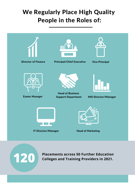### We Regularly Place High Quality People in the Roles of:





**Placements across 50 Further Education Colleges and Training Providers in 2021.**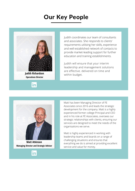### Our Key People





Judith coordinates our team of consultants and associates. She responds to clients' requirements utilising her skills, experience and well-established network of contacts to provide market-leading support for further education and training establishments.

Judith will ensure that your interim leadership and management solutions are effective. delivered on time and within budget.



**Matt Atkinson Managing Director and Strategic Advisor**



Matt is highly experienced in working with leadership teams and boards on a range of challenging situations and ensures that everything we do is aimed at providing excellent service and value for money.

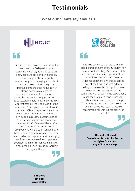### **Testimonials**

#### **What our clients say about us...**

# HIHCUC

### "

Denise has been an absolute asset to the teams and the College during her assignment with us, using her excellent knowledge and skills and an incredibly versatile approach strategically, operationally, and managing a couple of discrete projects. Tangible quality improvements are evident due to her strong leadership of both the apprenticeships and skills areas and, in particular, continuing our journey with us to successfully implement a new Technical Apprenticeship School and take it to the next level. Denise played a crucial role in our recent Ofsted inspection; a genuine team player who was as committed to achieving a successful outcome just as much as any long-serving permanent member of staff. Denise will have left a lasting legacy in the professional development of individual managers who have benefited greatly from her expertise, sound advice and approaches to managing staff being empowered to adopt these strategies within their management styles. It has been a genuine pleasure working alongside Denise.



"

Michelle came into the role as Interim Head of Department after a turbulent few months for the College. She immediately stabilised the department, got stuck in, and worked relentlessly to improve the student's experience. Michelle adapted exceptionally well and worked with colleagues across the College to resolve issues as soon as they arose. She connected with all staff in the department, responded to queries and issues very quickly and is a solution-driven manager. Michelle was a pleasure to work alongside when she was with us, and I would recommend her without hesitation for future roles.



**Alexandra Moruzzi Ex-Assistant Director for Further & Higher Education City of Bristol College**

**Jo Withers Principal Harrow College**